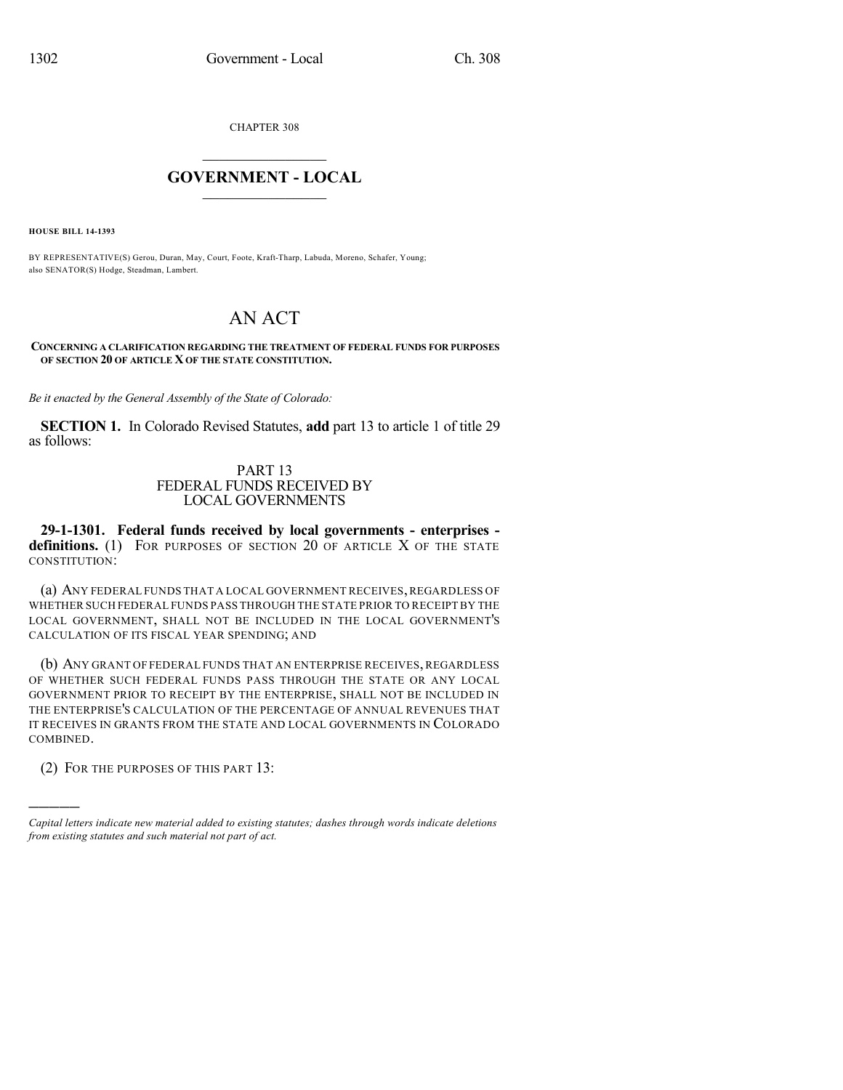CHAPTER 308

## $\overline{\phantom{a}}$  . The set of the set of the set of the set of the set of the set of the set of the set of the set of the set of the set of the set of the set of the set of the set of the set of the set of the set of the set o **GOVERNMENT - LOCAL**  $\_$

**HOUSE BILL 14-1393**

BY REPRESENTATIVE(S) Gerou, Duran, May, Court, Foote, Kraft-Tharp, Labuda, Moreno, Schafer, Young; also SENATOR(S) Hodge, Steadman, Lambert.

## AN ACT

## **CONCERNING A CLARIFICATION REGARDING THE TREATMENT OF FEDERAL FUNDS FOR PURPOSES OF SECTION 20 OF ARTICLE X OF THE STATE CONSTITUTION.**

*Be it enacted by the General Assembly of the State of Colorado:*

**SECTION 1.** In Colorado Revised Statutes, **add** part 13 to article 1 of title 29 as follows:

## PART 13 FEDERAL FUNDS RECEIVED BY LOCAL GOVERNMENTS

**29-1-1301. Federal funds received by local governments - enterprises**  definitions. (1) FOR PURPOSES OF SECTION 20 OF ARTICLE X OF THE STATE CONSTITUTION:

(a) ANY FEDERAL FUNDS THAT A LOCAL GOVERNMENT RECEIVES,REGARDLESS OF WHETHER SUCH FEDERAL FUNDS PASS THROUGH THE STATE PRIOR TO RECEIPT BY THE LOCAL GOVERNMENT, SHALL NOT BE INCLUDED IN THE LOCAL GOVERNMENT'S CALCULATION OF ITS FISCAL YEAR SPENDING; AND

(b) ANY GRANT OF FEDERAL FUNDS THAT AN ENTERPRISE RECEIVES, REGARDLESS OF WHETHER SUCH FEDERAL FUNDS PASS THROUGH THE STATE OR ANY LOCAL GOVERNMENT PRIOR TO RECEIPT BY THE ENTERPRISE, SHALL NOT BE INCLUDED IN THE ENTERPRISE'S CALCULATION OF THE PERCENTAGE OF ANNUAL REVENUES THAT IT RECEIVES IN GRANTS FROM THE STATE AND LOCAL GOVERNMENTS IN COLORADO COMBINED.

(2) FOR THE PURPOSES OF THIS PART 13:

)))))

*Capital letters indicate new material added to existing statutes; dashes through words indicate deletions from existing statutes and such material not part of act.*